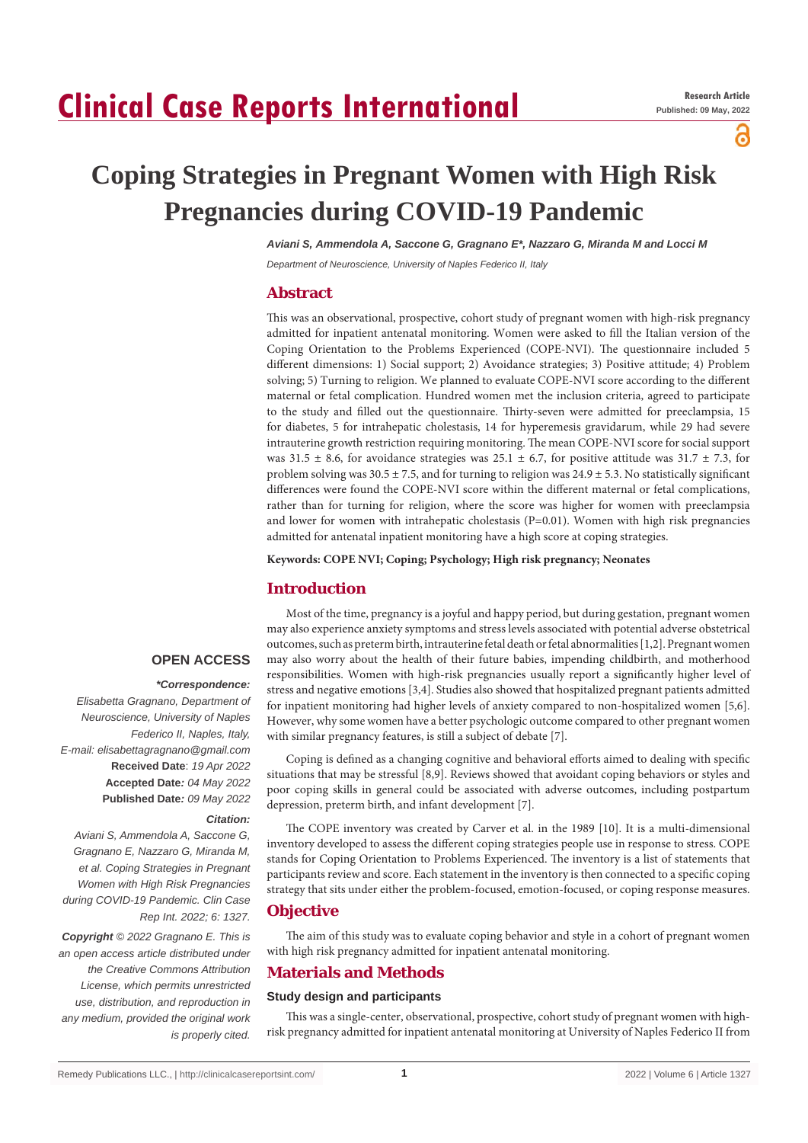# **Clinical Case Reports International**

പ്പ

# **Coping Strategies in Pregnant Women with High Risk Pregnancies during COVID-19 Pandemic**

*Aviani S, Ammendola A, Saccone G, Gragnano E\*, Nazzaro G, Miranda M and Locci M*

*Department of Neuroscience, University of Naples Federico II, Italy*

# **Abstract**

This was an observational, prospective, cohort study of pregnant women with high-risk pregnancy admitted for inpatient antenatal monitoring. Women were asked to fill the Italian version of the Coping Orientation to the Problems Experienced (COPE-NVI). The questionnaire included 5 different dimensions: 1) Social support; 2) Avoidance strategies; 3) Positive attitude; 4) Problem solving; 5) Turning to religion. We planned to evaluate COPE-NVI score according to the different maternal or fetal complication. Hundred women met the inclusion criteria, agreed to participate to the study and filled out the questionnaire. Thirty-seven were admitted for preeclampsia, 15 for diabetes, 5 for intrahepatic cholestasis, 14 for hyperemesis gravidarum, while 29 had severe intrauterine growth restriction requiring monitoring. The mean COPE-NVI score for social support was 31.5  $\pm$  8.6, for avoidance strategies was 25.1  $\pm$  6.7, for positive attitude was 31.7  $\pm$  7.3, for problem solving was  $30.5 \pm 7.5$ , and for turning to religion was  $24.9 \pm 5.3$ . No statistically significant differences were found the COPE-NVI score within the different maternal or fetal complications, rather than for turning for religion, where the score was higher for women with preeclampsia and lower for women with intrahepatic cholestasis (P=0.01). Women with high risk pregnancies admitted for antenatal inpatient monitoring have a high score at coping strategies.

**Keywords: COPE NVI; Coping; Psychology; High risk pregnancy; Neonates**

# **Introduction**

# **OPEN ACCESS**

## *\*Correspondence:*

*Elisabetta Gragnano, Department of Neuroscience, University of Naples Federico II, Naples, Italy, E-mail: elisabettagragnano@gmail.com* **Received Date**: *19 Apr 2022* **Accepted Date***: 04 May 2022* **Published Date***: 09 May 2022*

## *Citation:*

*Aviani S, Ammendola A, Saccone G, Gragnano E, Nazzaro G, Miranda M, et al. Coping Strategies in Pregnant Women with High Risk Pregnancies during COVID-19 Pandemic. Clin Case Rep Int. 2022; 6: 1327.*

*Copyright © 2022 Gragnano E. This is an open access article distributed under the Creative Commons Attribution License, which permits unrestricted use, distribution, and reproduction in any medium, provided the original work is properly cited.*

Most of the time, pregnancy is a joyful and happy period, but during gestation, pregnant women may also experience anxiety symptoms and stress levels associated with potential adverse obstetrical outcomes, such as preterm birth, intrauterine fetal death or fetal abnormalities [1,2]. Pregnant women may also worry about the health of their future babies, impending childbirth, and motherhood responsibilities. Women with high-risk pregnancies usually report a significantly higher level of stress and negative emotions [3,4]. Studies also showed that hospitalized pregnant patients admitted for inpatient monitoring had higher levels of anxiety compared to non-hospitalized women [5,6]. However, why some women have a better psychologic outcome compared to other pregnant women with similar pregnancy features, is still a subject of debate [7].

Coping is defined as a changing cognitive and behavioral efforts aimed to dealing with specific situations that may be stressful [8,9]. Reviews showed that avoidant coping behaviors or styles and poor coping skills in general could be associated with adverse outcomes, including postpartum depression, preterm birth, and infant development [7].

The COPE inventory was created by Carver et al. in the 1989 [10]. It is a multi-dimensional inventory developed to assess the different coping strategies people use in response to stress. COPE stands for Coping Orientation to Problems Experienced. The inventory is a list of statements that participants review and score. Each statement in the inventory is then connected to a specific coping strategy that sits under either the problem-focused, emotion-focused, or coping response measures.

## **Objective**

The aim of this study was to evaluate coping behavior and style in a cohort of pregnant women with high risk pregnancy admitted for inpatient antenatal monitoring.

# **Materials and Methods**

## **Study design and participants**

This was a single-center, observational, prospective, cohort study of pregnant women with highrisk pregnancy admitted for inpatient antenatal monitoring at University of Naples Federico II from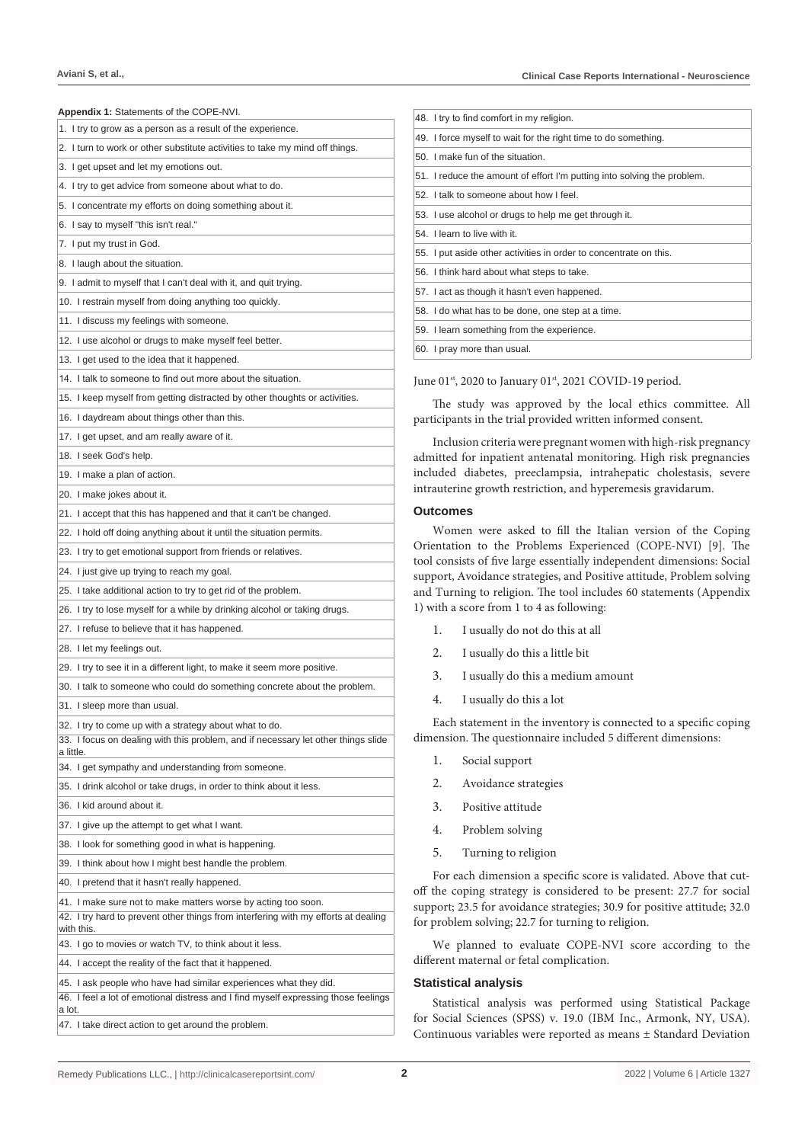| <b>Appendix 1: Statements of the COPE-NVI.</b>                                                                                              | 48. I try to find comfort in my religion.                               |  |  |
|---------------------------------------------------------------------------------------------------------------------------------------------|-------------------------------------------------------------------------|--|--|
| 1. I try to grow as a person as a result of the experience.                                                                                 | 49. I force myself to wait for the right                                |  |  |
| 2. I turn to work or other substitute activities to take my mind off things.                                                                | 50. I make fun of the situation.                                        |  |  |
| 3. I get upset and let my emotions out.                                                                                                     | 51. I reduce the amount of effort I'm p                                 |  |  |
| 4. I try to get advice from someone about what to do.                                                                                       | 52. I talk to someone about how I fee                                   |  |  |
| 5. I concentrate my efforts on doing something about it.                                                                                    | 53. I use alcohol or drugs to help me                                   |  |  |
| 6. I say to myself "this isn't real."                                                                                                       | 54. I learn to live with it.                                            |  |  |
| 7. I put my trust in God.                                                                                                                   | 55. I put aside other activities in orde                                |  |  |
| 8. I laugh about the situation.                                                                                                             | 56. I think hard about what steps to ta                                 |  |  |
| 9. I admit to myself that I can't deal with it, and quit trying.                                                                            | 57. I act as though it hasn't even hap                                  |  |  |
| 10. I restrain myself from doing anything too quickly.                                                                                      | 58. I do what has to be done, one ste                                   |  |  |
| 11. I discuss my feelings with someone.                                                                                                     |                                                                         |  |  |
| 12. I use alcohol or drugs to make myself feel better.                                                                                      | 59. I learn something from the experi                                   |  |  |
| 13. I get used to the idea that it happened.                                                                                                | 60. I pray more than usual.                                             |  |  |
| 14. I talk to someone to find out more about the situation.                                                                                 | June 01 <sup>st</sup> , 2020 to January 01 <sup>st</sup> , 20           |  |  |
| 15. I keep myself from getting distracted by other thoughts or activities.                                                                  | The study was approved b                                                |  |  |
| 16. I daydream about things other than this.                                                                                                | participants in the trial provided                                      |  |  |
| 17. I get upset, and am really aware of it.                                                                                                 |                                                                         |  |  |
| 18. I seek God's help.                                                                                                                      | Inclusion criteria were pregna<br>admitted for inpatient antenatal      |  |  |
| 19. I make a plan of action.                                                                                                                | included diabetes, preeclampsi                                          |  |  |
| 20. I make jokes about it.                                                                                                                  | intrauterine growth restriction, a                                      |  |  |
| 21. I accept that this has happened and that it can't be changed.                                                                           | <b>Outcomes</b>                                                         |  |  |
| 22. I hold off doing anything about it until the situation permits.                                                                         | Women were asked to fill                                                |  |  |
| 23. I try to get emotional support from friends or relatives.                                                                               | Orientation to the Problems I                                           |  |  |
| 24. I just give up trying to reach my goal.                                                                                                 | tool consists of five large essenti                                     |  |  |
| 25. I take additional action to try to get rid of the problem.                                                                              | support, Avoidance strategies, ar                                       |  |  |
| 26. I try to lose myself for a while by drinking alcohol or taking drugs.                                                                   | and Turning to religion. The too<br>1) with a score from 1 to 4 as foll |  |  |
| 27. I refuse to believe that it has happened.                                                                                               | 1.                                                                      |  |  |
| 28. I let my feelings out.                                                                                                                  | I usually do not do this                                                |  |  |
|                                                                                                                                             | 2.<br>I usually do this a little                                        |  |  |
| 29. I try to see it in a different light, to make it seem more positive.                                                                    | 3.<br>I usually do this a med                                           |  |  |
| 30. I talk to someone who could do something concrete about the problem.                                                                    | 4.<br>I usually do this a lot                                           |  |  |
| 31. I sleep more than usual.                                                                                                                | Each statement in the invent                                            |  |  |
| 32. I try to come up with a strategy about what to do.<br>33. I focus on dealing with this problem, and if necessary let other things slide | dimension. The questionnaire in                                         |  |  |
| a little.                                                                                                                                   | 1.                                                                      |  |  |
| 34. I get sympathy and understanding from someone.                                                                                          | Social support                                                          |  |  |
| 35. I drink alcohol or take drugs, in order to think about it less.                                                                         | 2.<br>Avoidance strategies                                              |  |  |
| 36. I kid around about it.                                                                                                                  | 3.<br>Positive attitude                                                 |  |  |
| 37. I give up the attempt to get what I want.                                                                                               | 4.<br>Problem solving                                                   |  |  |
| 38. I look for something good in what is happening.                                                                                         | 5.<br>Turning to religion                                               |  |  |
| 39. I think about how I might best handle the problem.                                                                                      |                                                                         |  |  |
| 40. I pretend that it hasn't really happened.                                                                                               | For each dimension a specifi<br>off the coping strategy is consident    |  |  |
| 41. I make sure not to make matters worse by acting too soon.                                                                               | support; 23.5 for avoidance strat                                       |  |  |
| 42. I try hard to prevent other things from interfering with my efforts at dealing                                                          | for problem solving; 22.7 for turn                                      |  |  |
| with this.<br>43. I go to movies or watch TV, to think about it less.                                                                       | We planned to evaluate C                                                |  |  |
| 44. I accept the reality of the fact that it happened.                                                                                      | different maternal or fetal compl                                       |  |  |
| 45. I ask people who have had similar experiences what they did.                                                                            | <b>Statistical analysis</b>                                             |  |  |
| 46. I feel a lot of emotional distress and I find myself expressing those feelings                                                          | Statistical analysis was per                                            |  |  |
| a lot.                                                                                                                                      | for Social Sciences (SPSS) v. 19                                        |  |  |
| 47. I take direct action to get around the problem.                                                                                         | Continuous variables were repor                                         |  |  |

| 48. I try to find comfort in my religion.                               |  |
|-------------------------------------------------------------------------|--|
| 49. I force myself to wait for the right time to do something.          |  |
| 50. I make fun of the situation.                                        |  |
| 51. I reduce the amount of effort I'm putting into solving the problem. |  |
| 52. I talk to someone about how I feel.                                 |  |
| 53. I use alcohol or drugs to help me get through it.                   |  |
| 54. I learn to live with it.                                            |  |
| 55. I put aside other activities in order to concentrate on this.       |  |
| 56. I think hard about what steps to take.                              |  |
| 57. I act as though it hasn't even happened.                            |  |
| 58. I do what has to be done, one step at a time.                       |  |
| 59. I learn something from the experience.                              |  |
| 60. I pray more than usual.                                             |  |

June 01<sup>st</sup>, 2020 to January 01<sup>st</sup>, 2021 COVID-19 period.

The study was approved by the local ethics committee. All participants in the trial provided written informed consent.

Inclusion criteria were pregnant women with high-risk pregnancy admitted for inpatient antenatal monitoring. High risk pregnancies included diabetes, preeclampsia, intrahepatic cholestasis, severe intrauterine growth restriction, and hyperemesis gravidarum.

## **Outcomes**

Women were asked to fill the Italian version of the Coping Orientation to the Problems Experienced (COPE-NVI) [9]. The tool consists of five large essentially independent dimensions: Social support, Avoidance strategies, and Positive attitude, Problem solving and Turning to religion. The tool includes 60 statements (Appendix 1) with a score from 1 to 4 as following:

- 1. I usually do not do this at all
- 2. I usually do this a little bit
- 3. I usually do this a medium amount
- 4. I usually do this a lot

Each statement in the inventory is connected to a specific coping dimension. The questionnaire included 5 different dimensions:

- 1. Social support
- 2. Avoidance strategies
- 3. Positive attitude
- 4. Problem solving
- 5. Turning to religion

For each dimension a specific score is validated. Above that cutoff the coping strategy is considered to be present: 27.7 for social support; 23.5 for avoidance strategies; 30.9 for positive attitude; 32.0 for problem solving; 22.7 for turning to religion.

We planned to evaluate COPE-NVI score according to the different maternal or fetal complication.

#### **Statistical analysis**

Statistical analysis was performed using Statistical Package for Social Sciences (SPSS) v. 19.0 (IBM Inc., Armonk, NY, USA). Continuous variables were reported as means ± Standard Deviation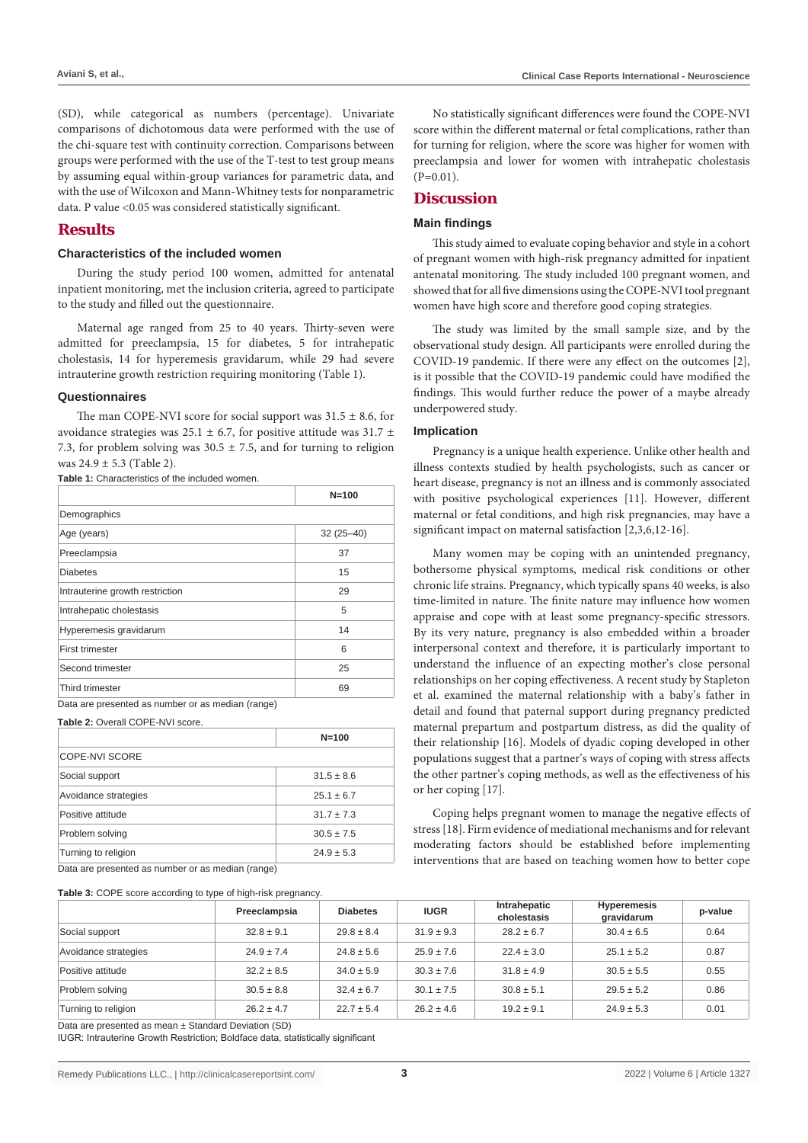(SD), while categorical as numbers (percentage). Univariate comparisons of dichotomous data were performed with the use of the chi-square test with continuity correction. Comparisons between groups were performed with the use of the T-test to test group means by assuming equal within-group variances for parametric data, and with the use of Wilcoxon and Mann-Whitney tests for nonparametric data. P value <0.05 was considered statistically significant.

# **Results**

#### **Characteristics of the included women**

During the study period 100 women, admitted for antenatal inpatient monitoring, met the inclusion criteria, agreed to participate to the study and filled out the questionnaire.

Maternal age ranged from 25 to 40 years. Thirty-seven were admitted for preeclampsia, 15 for diabetes, 5 for intrahepatic cholestasis, 14 for hyperemesis gravidarum, while 29 had severe intrauterine growth restriction requiring monitoring (Table 1).

#### **Questionnaires**

The man COPE-NVI score for social support was  $31.5 \pm 8.6$ , for avoidance strategies was 25.1  $\pm$  6.7, for positive attitude was 31.7  $\pm$ 7.3, for problem solving was  $30.5 \pm 7.5$ , and for turning to religion was  $24.9 \pm 5.3$  (Table 2).

**Table 1:** Characteristics of the included women.

|                                 | $N = 100$     |
|---------------------------------|---------------|
| Demographics                    |               |
| Age (years)                     | $32(25 - 40)$ |
| Preeclampsia                    | 37            |
| <b>Diabetes</b>                 | 15            |
| Intrauterine growth restriction | 29            |
| Intrahepatic cholestasis        | 5             |
| Hyperemesis gravidarum          | 14            |
| <b>First trimester</b>          | 6             |
| Second trimester                | 25            |
| Third trimester                 | 69            |

Data are presented as number or as median (range)

Table 2: Overall COPE-NVI score.

|                      | $N = 100$      |  |  |  |
|----------------------|----------------|--|--|--|
| COPE-NVI SCORE       |                |  |  |  |
| Social support       | $31.5 \pm 8.6$ |  |  |  |
| Avoidance strategies | $25.1 \pm 6.7$ |  |  |  |
| Positive attitude    | $31.7 \pm 7.3$ |  |  |  |
| Problem solving      | $30.5 \pm 7.5$ |  |  |  |
| Turning to religion  | $24.9 \pm 5.3$ |  |  |  |

Data are presented as number or as median (range)

**Table 3:** COPE score according to type of high-risk pregnancy.

No statistically significant differences were found the COPE-NVI score within the different maternal or fetal complications, rather than for turning for religion, where the score was higher for women with preeclampsia and lower for women with intrahepatic cholestasis  $(P=0.01)$ .

# **Discussion**

#### **Main findings**

This study aimed to evaluate coping behavior and style in a cohort of pregnant women with high-risk pregnancy admitted for inpatient antenatal monitoring. The study included 100 pregnant women, and showed that for all five dimensions using the COPE-NVI tool pregnant women have high score and therefore good coping strategies.

The study was limited by the small sample size, and by the observational study design. All participants were enrolled during the COVID-19 pandemic. If there were any effect on the outcomes [2], is it possible that the COVID-19 pandemic could have modified the findings. This would further reduce the power of a maybe already underpowered study.

## **Implication**

Pregnancy is a unique health experience. Unlike other health and illness contexts studied by health psychologists, such as cancer or heart disease, pregnancy is not an illness and is commonly associated with positive psychological experiences [11]. However, different maternal or fetal conditions, and high risk pregnancies, may have a significant impact on maternal satisfaction [2,3,6,12-16].

Many women may be coping with an unintended pregnancy, bothersome physical symptoms, medical risk conditions or other chronic life strains. Pregnancy, which typically spans 40 weeks, is also time-limited in nature. The finite nature may influence how women appraise and cope with at least some pregnancy-specific stressors. By its very nature, pregnancy is also embedded within a broader interpersonal context and therefore, it is particularly important to understand the influence of an expecting mother's close personal relationships on her coping effectiveness. A recent study by Stapleton et al. examined the maternal relationship with a baby's father in detail and found that paternal support during pregnancy predicted maternal prepartum and postpartum distress, as did the quality of their relationship [16]. Models of dyadic coping developed in other populations suggest that a partner's ways of coping with stress affects the other partner's coping methods, as well as the effectiveness of his or her coping [17].

Coping helps pregnant women to manage the negative effects of stress [18]. Firm evidence of mediational mechanisms and for relevant moderating factors should be established before implementing interventions that are based on teaching women how to better cope

|                      | Preeclampsia   | <b>Diabetes</b> | <b>IUGR</b>    | Intrahepatic<br>cholestasis | <b>Hyperemesis</b><br>gravidarum | p-value |
|----------------------|----------------|-----------------|----------------|-----------------------------|----------------------------------|---------|
| Social support       | $32.8 \pm 9.1$ | $29.8 \pm 8.4$  | $31.9 \pm 9.3$ | $28.2 \pm 6.7$              | $30.4 \pm 6.5$                   | 0.64    |
| Avoidance strategies | $24.9 \pm 7.4$ | $24.8 \pm 5.6$  | $25.9 \pm 7.6$ | $22.4 \pm 3.0$              | $25.1 \pm 5.2$                   | 0.87    |
| Positive attitude    | $32.2 \pm 8.5$ | $34.0 \pm 5.9$  | $30.3 \pm 7.6$ | $31.8 \pm 4.9$              | $30.5 \pm 5.5$                   | 0.55    |
| Problem solving      | $30.5 \pm 8.8$ | $32.4 \pm 6.7$  | $30.1 \pm 7.5$ | $30.8 \pm 5.1$              | $29.5 \pm 5.2$                   | 0.86    |
| Turning to religion  | $26.2 \pm 4.7$ | $22.7 \pm 5.4$  | $26.2 \pm 4.6$ | $19.2 \pm 9.1$              | $24.9 \pm 5.3$                   | 0.01    |

Data are presented as mean ± Standard Deviation (SD)

IUGR: Intrauterine Growth Restriction; Boldface data, statistically significant